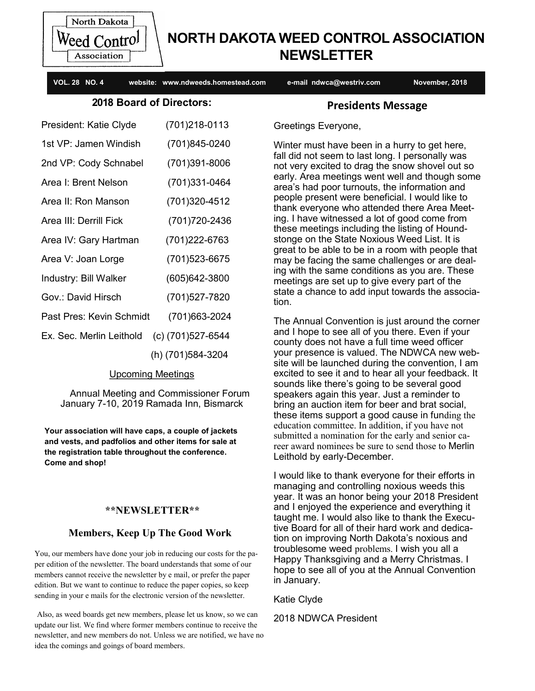

# **NORTH DAKOTA WEED CONTROL ASSOCIATION NEWSLETTER**

**VOL. 28 NO. 4 website: www.ndweeds.homestead.com e-mail ndwca@westriv.com November, 2018**

# **2018 Board of Directors:**

| President: Katie Clyde   | (701)218-0113     |
|--------------------------|-------------------|
| 1st VP: Jamen Windish    | (701)845-0240     |
| 2nd VP: Cody Schnabel    | (701)391-8006     |
| Area I: Brent Nelson     | (701)331-0464     |
| Area II: Ron Manson      | (701)320-4512     |
| Area III: Derrill Fick   | (701) 720-2436    |
| Area IV: Gary Hartman    | (701)222-6763     |
| Area V: Joan Lorge       | (701)523-6675     |
| Industry: Bill Walker    | (605)642-3800     |
| Gov.: David Hirsch       | (701)527-7820     |
| Past Pres: Kevin Schmidt | (701) 663-2024    |
| Ex. Sec. Merlin Leithold | (c) (701)527-6544 |
|                          | (h) (701)584-3204 |

# Upcoming Meetings

 Annual Meeting and Commissioner Forum January 7-10, 2019 Ramada Inn, Bismarck

**Your association will have caps, a couple of jackets and vests, and padfolios and other items for sale at the registration table throughout the conference. Come and shop!**

# **\*\*NEWSLETTER\*\***

# **Members, Keep Up The Good Work**

You, our members have done your job in reducing our costs for the paper edition of the newsletter. The board understands that some of our members cannot receive the newsletter by e mail, or prefer the paper edition. But we want to continue to reduce the paper copies, so keep sending in your e mails for the electronic version of the newsletter.

Also, as weed boards get new members, please let us know, so we can update our list. We find where former members continue to receive the newsletter, and new members do not. Unless we are notified, we have no idea the comings and goings of board members.

# **Presidents Message**

Greetings Everyone,

Winter must have been in a hurry to get here, fall did not seem to last long. I personally was not very excited to drag the snow shovel out so early. Area meetings went well and though some area's had poor turnouts, the information and people present were beneficial. I would like to thank everyone who attended there Area Meeting. I have witnessed a lot of good come from these meetings including the listing of Houndstonge on the State Noxious Weed List. It is great to be able to be in a room with people that may be facing the same challenges or are dealing with the same conditions as you are. These meetings are set up to give every part of the state a chance to add input towards the association.

The Annual Convention is just around the corner and I hope to see all of you there. Even if your county does not have a full time weed officer your presence is valued. The NDWCA new website will be launched during the convention, I am excited to see it and to hear all your feedback. It sounds like there's going to be several good speakers again this year. Just a reminder to bring an auction item for beer and brat social, these items support a good cause in funding the education committee. In addition, if you have not submitted a nomination for the early and senior career award nominees be sure to send those to Merlin Leithold by early-December.

I would like to thank everyone for their efforts in managing and controlling noxious weeds this year. It was an honor being your 2018 President and I enjoyed the experience and everything it taught me. I would also like to thank the Executive Board for all of their hard work and dedication on improving North Dakota's noxious and troublesome weed problems. I wish you all a Happy Thanksgiving and a Merry Christmas. I hope to see all of you at the Annual Convention in January.

Katie Clyde

2018 NDWCA President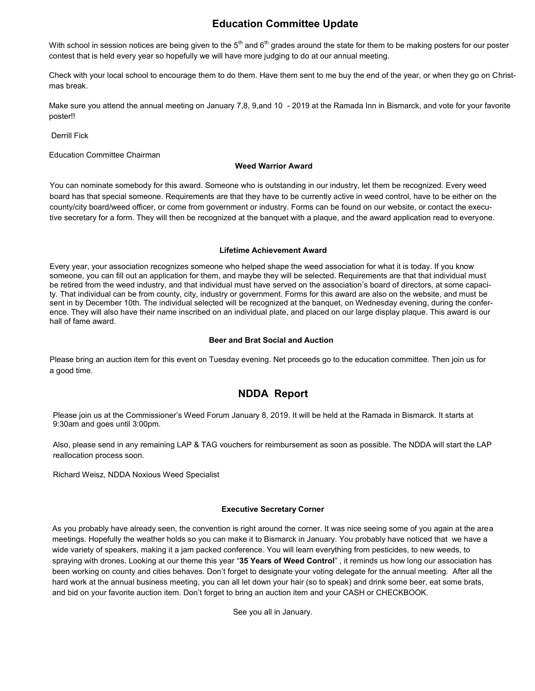# **Education Committee Update**

With school in session notices are being given to the  $5<sup>th</sup>$  and  $6<sup>th</sup>$  grades around the state for them to be making posters for our poster contest that is held every year so hopefully we will have more judging to do at our annual meeting.

Check with your local school to encourage them to do them. Have them sent to me buy the end of the year, or when they go on Christmas break.

Make sure you attend the annual meeting on January 7,8, 9,and 10 - 2019 at the Ramada Inn in Bismarck, and vote for your favorite poster!!

Derrill Fick

Education Committee Chairman

#### **Weed Warrior Award**

You can nominate somebody for this award. Someone who is outstanding in our industry, let them be recognized. Every weed board has that special someone. Requirements are that they have to be currently active in weed control, have to be either on the county/city board/weed officer, or come from government or industry. Forms can be found on our website, or contact the executive secretary for a form. They will then be recognized at the banquet with a plaque, and the award application read to everyone.

#### **Lifetime Achievement Award**

Every year, your association recognizes someone who helped shape the weed association for what it is today. If you know someone, you can fill out an application for them, and maybe they will be selected. Requirements are that that individual must be retired from the weed industry, and that individual must have served on the association's board of directors, at some capacity. That individual can be from county, city, industry or government. Forms for this award are also on the website, and must be sent in by December 10th. The individual selected will be recognized at the banquet, on Wednesday evening, during the conference. They will also have their name inscribed on an individual plate, and placed on our large display plaque. This award is our hall of fame award.

#### **Beer and Brat Social and Auction**

Please bring an auction item for this event on Tuesday evening. Net proceeds go to the education committee. Then join us for a good time.

# **NDDA Report**

Please join us at the Commissioner's Weed Forum January 8, 2019. It will be held at the Ramada in Bismarck. It starts at 9:30am and goes until 3:00pm.

Also, please send in any remaining LAP & TAG vouchers for reimbursement as soon as possible. The NDDA will start the LAP reallocation process soon.

Richard Weisz, NDDA Noxious Weed Specialist

#### **Executive Secretary Corner**

As you probably have already seen, the convention is right around the corner. It was nice seeing some of you again at the area meetings. Hopefully the weather holds so you can make it to Bismarck in January. You probably have noticed that we have a wide variety of speakers, making it a jam packed conference. You will learn everything from pesticides, to new weeds, to spraying with drones. Looking at our theme this year "**35 Years of Weed Control**" , it reminds us how long our association has been working on county and cities behaves. Don't forget to designate your voting delegate for the annual meeting. After all the hard work at the annual business meeting, you can all let down your hair (so to speak) and drink some beer, eat some brats, and bid on your favorite auction item. Don't forget to bring an auction item and your CASH or CHECKBOOK.

See you all in January.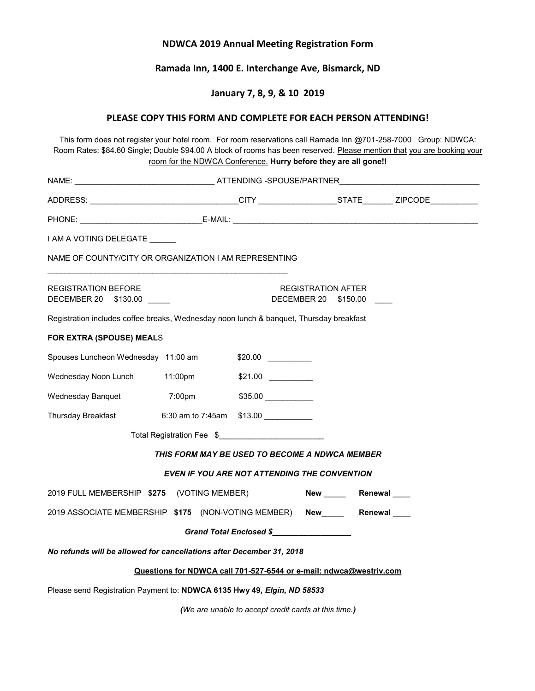## **NDWCA 2019 Annual Meeting Registration Form**

## **Ramada Inn, 1400 E. Interchange Ave, Bismarck, ND**

#### **January 7, 8, 9, & 10 2019**

#### **PLEASE COPY THIS FORM AND COMPLETE FOR EACH PERSON ATTENDING!**

This form does not register your hotel room. For room reservations call Ramada Inn @701-258-7000Group: NDWCA: Room Rates: \$84.60 Single; Double \$94.00 A block of rooms has been reserved. Please mention that you are booking your room for the NDWCA Conference. **Hurry before they are all gone!!**

| NAME: ___________________________________ATTENDING -SPOUSE/PARTNER_________________________________ |                            |         |                                                   |  |  |  |
|-----------------------------------------------------------------------------------------------------|----------------------------|---------|---------------------------------------------------|--|--|--|
|                                                                                                     |                            |         |                                                   |  |  |  |
|                                                                                                     |                            |         |                                                   |  |  |  |
| I AM A VOTING DELEGATE                                                                              |                            |         |                                                   |  |  |  |
| NAME OF COUNTY/CITY OR ORGANIZATION I AM REPRESENTING                                               |                            |         |                                                   |  |  |  |
| <b>REGISTRATION BEFORE</b><br>DECEMBER 20 \$130.00 ____                                             |                            |         | <b>REGISTRATION AFTER</b><br>DECEMBER 20 \$150.00 |  |  |  |
| Registration includes coffee breaks, Wednesday noon lunch & banquet, Thursday breakfast             |                            |         |                                                   |  |  |  |
| FOR EXTRA (SPOUSE) MEALS                                                                            |                            |         |                                                   |  |  |  |
| Spouses Luncheon Wednesday 11:00 am \$20.00 [100]                                                   |                            |         |                                                   |  |  |  |
| Wednesday Noon Lunch 11:00pm                                                                        |                            | \$21.00 |                                                   |  |  |  |
| Wednesday Banquet                                                                                   | $7:00$ pm                  |         |                                                   |  |  |  |
| Thursday Breakfast                                                                                  | 6:30 am to 7:45am $$13.00$ |         |                                                   |  |  |  |
| Total Registration Fee \$                                                                           |                            |         |                                                   |  |  |  |
| THIS FORM MAY BE USED TO BECOME A NDWCA MEMBER                                                      |                            |         |                                                   |  |  |  |
| <b>EVEN IF YOU ARE NOT ATTENDING THE CONVENTION</b>                                                 |                            |         |                                                   |  |  |  |
| 2019 FULL MEMBERSHIP \$275 (VOTING MEMBER)                                                          |                            |         | New Renewal                                       |  |  |  |
| 2019 ASSOCIATE MEMBERSHIP \$175 (NON-VOTING MEMBER) New Renewal                                     |                            |         |                                                   |  |  |  |
| Grand Total Enclosed \$                                                                             |                            |         |                                                   |  |  |  |
| No refunds will be allowed for cancellations after December 31, 2018                                |                            |         |                                                   |  |  |  |
| Questions for NDWCA call 701-527-6544 or e-mail: ndwca@westriv.com                                  |                            |         |                                                   |  |  |  |
| Please send Registration Payment to: NDWCA 6135 Hwy 49, Elgin, ND 58533                             |                            |         |                                                   |  |  |  |

*(We are unable to accept credit cards at this time.)*